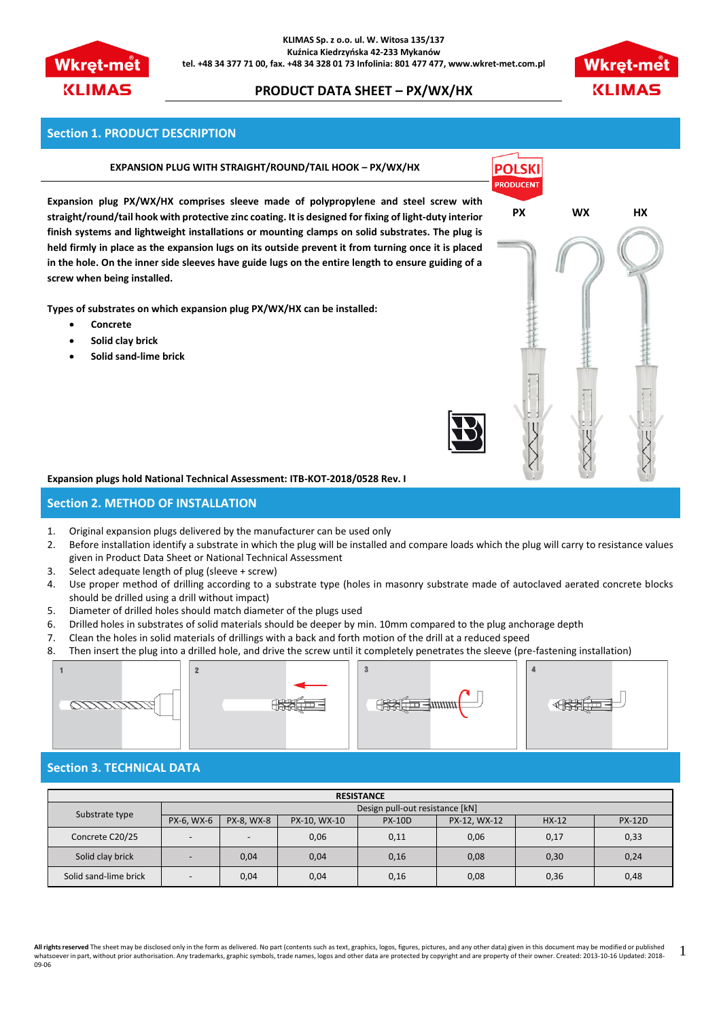

**KLIMAS Sp. z o.o. ul. W. Witosa 135/137 Kuźnica Kiedrzyńska 42-233 Mykanów tel. +48 34 377 71 00, fax. +48 34 328 01 73 Infolinia: 801 477 477, www.wkret-met.com.pl**

# **PRODUCT DATA SHEET – PX/WX/HX**



### **Section 1. PRODUCT DESCRIPTION**

#### **EXPANSION PLUG WITH STRAIGHT/ROUND/TAIL HOOK – PX/WX/HX**

**Expansion plug PX/WX/HX comprises sleeve made of polypropylene and steel screw with straight/round/tail hook with protective zinc coating. It is designed for fixing of light-duty interior finish systems and lightweight installations or mounting clamps on solid substrates. The plug is held firmly in place as the expansion lugs on its outside prevent it from turning once it is placed in the hole. On the inner side sleeves have guide lugs on the entire length to ensure guiding of a screw when being installed.**

**Types of substrates on which expansion plug PX/WX/HX can be installed:**

- **Concrete**
- **Solid clay brick**
- **Solid sand-lime brick**



# **Expansion plugs hold National Technical Assessment: ITB-KOT-2018/0528 Rev. I**

# **Section 2. METHOD OF INSTALLATION**

- 1. Original expansion plugs delivered by the manufacturer can be used only
- 2. Before installation identify a substrate in which the plug will be installed and compare loads which the plug will carry to resistance values given in Product Data Sheet or National Technical Assessment
- 3. Select adequate length of plug (sleeve + screw)
- 4. Use proper method of drilling according to a substrate type (holes in masonry substrate made of autoclaved aerated concrete blocks should be drilled using a drill without impact)
- 5. Diameter of drilled holes should match diameter of the plugs used
- 6. Drilled holes in substrates of solid materials should be deeper by min. 10mm compared to the plug anchorage depth
- 7. Clean the holes in solid materials of drillings with a back and forth motion of the drill at a reduced speed
- 8. Then insert the plug into a drilled hole, and drive the screw until it completely penetrates the sleeve (pre-fastening installation)



#### **Section 3. TECHNICAL DATA**

| <b>RESISTANCE</b>     |                                 |            |              |               |              |         |               |
|-----------------------|---------------------------------|------------|--------------|---------------|--------------|---------|---------------|
| Substrate type        | Design pull-out resistance [kN] |            |              |               |              |         |               |
|                       | PX-6. WX-6                      | PX-8, WX-8 | PX-10, WX-10 | <b>PX-10D</b> | PX-12, WX-12 | $HX-12$ | <b>PX-12D</b> |
| Concrete C20/25       | $\overline{\phantom{0}}$        |            | 0,06         | 0,11          | 0,06         | 0,17    | 0,33          |
| Solid clay brick      | $\overline{\phantom{0}}$        | 0,04       | 0,04         | 0,16          | 0,08         | 0,30    | 0,24          |
| Solid sand-lime brick | $\overline{\phantom{0}}$        | 0,04       | 0,04         | 0,16          | 0,08         | 0,36    | 0,48          |